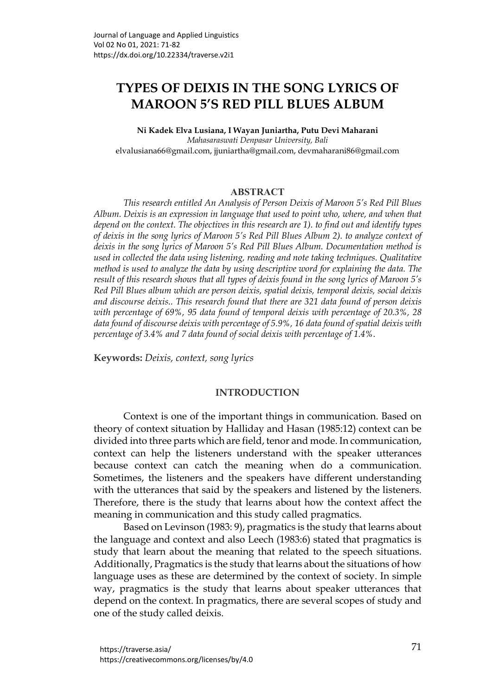# **TYPES OF DEIXIS IN THE SONG LYRICS OF MAROON 5'S RED PILL BLUES ALBUM**

**Ni Kadek Elva Lusiana, I Wayan Juniartha, Putu Devi Maharani** *Mahasaraswati Denpasar University, Bali*  elvalusiana66@gmail.com, jjuniartha@gmail.com, devmaharani86@gmail.com

#### **ABSTRACT**

*This research entitled An Analysis of Person Deixis of Maroon 5's Red Pill Blues Album. Deixis is an expression in language that used to point who, where, and when that depend on the context. The objectives in this research are 1). to find out and identify types of deixis in the song lyrics of Maroon 5's Red Pill Blues Album 2). to analyze context of deixis in the song lyrics of Maroon 5's Red Pill Blues Album. Documentation method is used in collected the data using listening, reading and note taking techniques. Qualitative method is used to analyze the data by using descriptive word for explaining the data. The result of this research shows that all types of deixis found in the song lyrics of Maroon 5's Red Pill Blues album which are person deixis, spatial deixis, temporal deixis, social deixis and discourse deixis.. This research found that there are 321 data found of person deixis with percentage of 69%, 95 data found of temporal deixis with percentage of 20.3%, 28 data found of discourse deixis with percentage of 5.9%, 16 data found of spatial deixis with percentage of 3.4% and 7 data found of social deixis with percentage of 1.4%.* 

**Keywords:** *Deixis, context, song lyrics*

#### **INTRODUCTION**

 Context is one of the important things in communication. Based on theory of context situation by Halliday and Hasan (1985:12) context can be divided into three parts which are field, tenor and mode. In communication, context can help the listeners understand with the speaker utterances because context can catch the meaning when do a communication. Sometimes, the listeners and the speakers have different understanding with the utterances that said by the speakers and listened by the listeners. Therefore, there is the study that learns about how the context affect the meaning in communication and this study called pragmatics.

 Based on Levinson (1983: 9), pragmatics is the study that learns about the language and context and also Leech (1983:6) stated that pragmatics is study that learn about the meaning that related to the speech situations. Additionally, Pragmatics is the study that learns about the situations of how language uses as these are determined by the context of society. In simple way, pragmatics is the study that learns about speaker utterances that depend on the context. In pragmatics, there are several scopes of study and one of the study called deixis.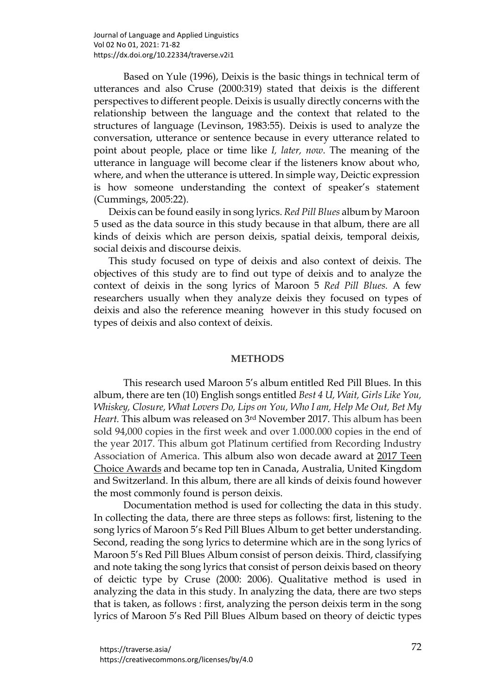Based on Yule (1996), Deixis is the basic things in technical term of utterances and also Cruse (2000:319) stated that deixis is the different perspectives to different people. Deixis is usually directly concerns with the relationship between the language and the context that related to the structures of language (Levinson, 1983:55). Deixis is used to analyze the conversation, utterance or sentence because in every utterance related to point about people, place or time like *I, later, now*. The meaning of the utterance in language will become clear if the listeners know about who, where, and when the utterance is uttered. In simple way, Deictic expression is how someone understanding the context of speaker's statement (Cummings, 2005:22).

Deixis can be found easily in song lyrics. *Red Pill Blues* album by Maroon 5 used as the data source in this study because in that album, there are all kinds of deixis which are person deixis, spatial deixis, temporal deixis, social deixis and discourse deixis.

This study focused on type of deixis and also context of deixis. The objectives of this study are to find out type of deixis and to analyze the context of deixis in the song lyrics of Maroon 5 *Red Pill Blues.* A few researchers usually when they analyze deixis they focused on types of deixis and also the reference meaning however in this study focused on types of deixis and also context of deixis.

#### **METHODS**

 This research used Maroon 5's album entitled Red Pill Blues. In this album, there are ten (10) English songs entitled *Best 4 U, Wait, Girls Like You, Whiskey, Closure, What Lovers Do, Lips on You, Who I am, Help Me Out, Bet My Heart.* This album was released on 3rd November 2017. This album has been sold 94,000 copies in the first week and over 1.000.000 copies in the end of the year 2017. This album got Platinum certified from Recording Industry Association of America. This album also won decade award at 2017 Teen Choice Awards and became top ten in Canada, Australia, United Kingdom and Switzerland. In this album, there are all kinds of deixis found however the most commonly found is person deixis.

 Documentation method is used for collecting the data in this study. In collecting the data, there are three steps as follows: first, listening to the song lyrics of Maroon 5's Red Pill Blues Album to get better understanding. Second, reading the song lyrics to determine which are in the song lyrics of Maroon 5's Red Pill Blues Album consist of person deixis. Third, classifying and note taking the song lyrics that consist of person deixis based on theory of deictic type by Cruse (2000: 2006). Qualitative method is used in analyzing the data in this study. In analyzing the data, there are two steps that is taken, as follows : first, analyzing the person deixis term in the song lyrics of Maroon 5's Red Pill Blues Album based on theory of deictic types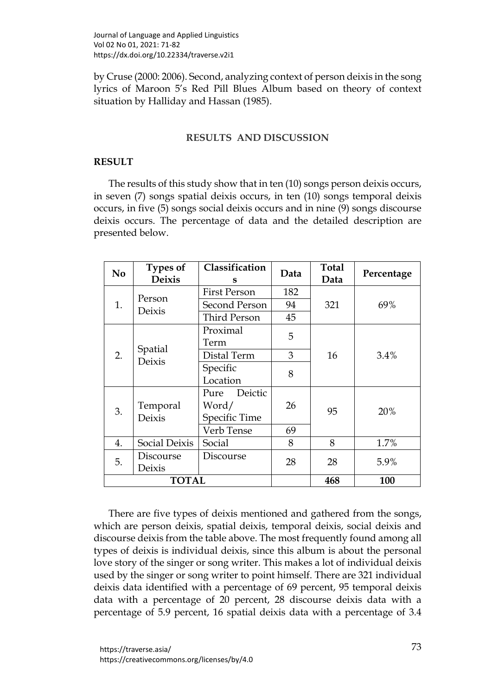by Cruse (2000: 2006). Second, analyzing context of person deixis in the song lyrics of Maroon 5's Red Pill Blues Album based on theory of context situation by Halliday and Hassan (1985).

# **RESULTS AND DISCUSSION**

## **RESULT**

The results of this study show that in ten (10) songs person deixis occurs, in seven (7) songs spatial deixis occurs, in ten (10) songs temporal deixis occurs, in five (5) songs social deixis occurs and in nine (9) songs discourse deixis occurs. The percentage of data and the detailed description are presented below.

| No. | Types of<br><b>Deixis</b> | Classification<br>S | Data | <b>Total</b><br>Data | Percentage |
|-----|---------------------------|---------------------|------|----------------------|------------|
|     |                           | <b>First Person</b> | 182  |                      |            |
| 1.  | Person<br>Deixis          | Second Person       | 94   | 321                  | 69%        |
|     |                           | Third Person        | 45   |                      |            |
|     |                           | Proximal            | 5    |                      |            |
|     | Spatial<br>Deixis         | Term                |      |                      |            |
| 2.  |                           | Distal Term         | 3    | 16                   | 3.4%       |
|     |                           | Specific            | 8    |                      |            |
|     |                           | Location            |      |                      |            |
|     |                           | Deictic<br>Pure     |      |                      |            |
| 3.  | Temporal                  | Word/               | 26   | 95                   | 20%        |
|     | Deixis                    | Specific Time       |      |                      |            |
|     |                           | Verb Tense          | 69   |                      |            |
| 4.  | Social Deixis             | Social              | 8    | 8                    | 1.7%       |
| 5.  | Discourse                 | Discourse           | 28   | 28                   | 5.9%       |
|     | Deixis                    |                     |      |                      |            |
|     | <b>TOTAL</b>              |                     |      | 468                  | 100        |

 There are five types of deixis mentioned and gathered from the songs, which are person deixis, spatial deixis, temporal deixis, social deixis and discourse deixis from the table above. The most frequently found among all types of deixis is individual deixis, since this album is about the personal love story of the singer or song writer. This makes a lot of individual deixis used by the singer or song writer to point himself. There are 321 individual deixis data identified with a percentage of 69 percent, 95 temporal deixis data with a percentage of 20 percent, 28 discourse deixis data with a percentage of 5.9 percent, 16 spatial deixis data with a percentage of 3.4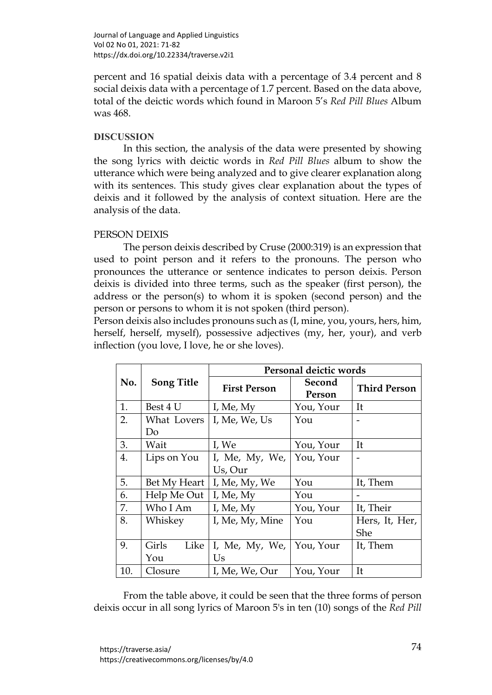percent and 16 spatial deixis data with a percentage of 3.4 percent and 8 social deixis data with a percentage of 1.7 percent. Based on the data above, total of the deictic words which found in Maroon 5's *Red Pill Blues* Album was 468.

### **DISCUSSION**

In this section, the analysis of the data were presented by showing the song lyrics with deictic words in *Red Pill Blues* album to show the utterance which were being analyzed and to give clearer explanation along with its sentences. This study gives clear explanation about the types of deixis and it followed by the analysis of context situation. Here are the analysis of the data.

## PERSON DEIXIS

 The person deixis described by Cruse (2000:319) is an expression that used to point person and it refers to the pronouns. The person who pronounces the utterance or sentence indicates to person deixis. Person deixis is divided into three terms, such as the speaker (first person), the address or the person(s) to whom it is spoken (second person) and the person or persons to whom it is not spoken (third person).

Person deixis also includes pronouns such as (I, mine, you, yours, hers, him, herself, herself, myself), possessive adjectives (my, her, your), and verb inflection (you love, I love, he or she loves).

|     |                   | Personal deictic words |                  |                     |
|-----|-------------------|------------------------|------------------|---------------------|
| No. | <b>Song Title</b> | <b>First Person</b>    | Second<br>Person | <b>Third Person</b> |
| 1.  | Best 4 U          | I, Me, My              | You, Your        | It                  |
| 2.  | What Lovers       | I, Me, We, Us          | You              |                     |
|     | Do                |                        |                  |                     |
| 3.  | Wait              | I, We                  | You, Your        | It                  |
| 4.  | Lips on You       | I, Me, My, We,         | You, Your        |                     |
|     |                   | Us, Our                |                  |                     |
| 5.  | Bet My Heart      | I, Me, My, We          | You              | It, Them            |
| 6.  | Help Me Out       | I, Me, My              | You              |                     |
| 7.  | Who I Am          | I, Me, My              | You, Your        | It, Their           |
| 8.  | Whiskey           | I, Me, My, Mine        | You              | Hers, It, Her,      |
|     |                   |                        |                  | She                 |
| 9.  | Girls<br>Like     | I, Me, My, We,         | You, Your        | It, Them            |
|     | You               | Us                     |                  |                     |
| 10. | Closure           | I, Me, We, Our         | You, Your        | It                  |

 From the table above, it could be seen that the three forms of person deixis occur in all song lyrics of Maroon 5's in ten (10) songs of the *Red Pill*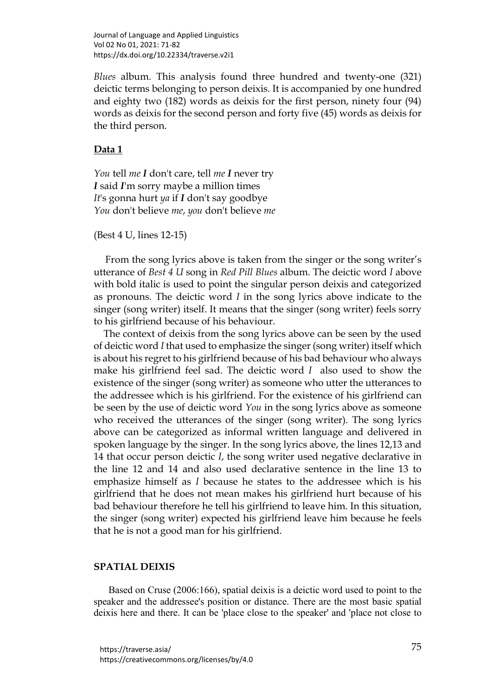*Blues* album. This analysis found three hundred and twenty-one (321) deictic terms belonging to person deixis. It is accompanied by one hundred and eighty two (182) words as deixis for the first person, ninety four (94) words as deixis for the second person and forty five (45) words as deixis for the third person.

### **Data 1**

*You* tell *me I* don't care, tell *me I* never try *I* said *I*'m sorry maybe a million times *It*'s gonna hurt *ya* if *I* don't say goodbye *You* don't believe *me*, *you* don't believe *me* 

(Best 4 U, lines 12-15)

From the song lyrics above is taken from the singer or the song writer's utterance of *Best 4 U* song in *Red Pill Blues* album. The deictic word *I* above with bold italic is used to point the singular person deixis and categorized as pronouns. The deictic word *I* in the song lyrics above indicate to the singer (song writer) itself. It means that the singer (song writer) feels sorry to his girlfriend because of his behaviour.

 The context of deixis from the song lyrics above can be seen by the used of deictic word *I* that used to emphasize the singer (song writer) itself which is about his regret to his girlfriend because of his bad behaviour who always make his girlfriend feel sad. The deictic word *I* also used to show the existence of the singer (song writer) as someone who utter the utterances to the addressee which is his girlfriend. For the existence of his girlfriend can be seen by the use of deictic word *You* in the song lyrics above as someone who received the utterances of the singer (song writer). The song lyrics above can be categorized as informal written language and delivered in spoken language by the singer. In the song lyrics above, the lines 12,13 and 14 that occur person deictic *I*, the song writer used negative declarative in the line 12 and 14 and also used declarative sentence in the line 13 to emphasize himself as *I* because he states to the addressee which is his girlfriend that he does not mean makes his girlfriend hurt because of his bad behaviour therefore he tell his girlfriend to leave him. In this situation, the singer (song writer) expected his girlfriend leave him because he feels that he is not a good man for his girlfriend.

## **SPATIAL DEIXIS**

 Based on Cruse (2006:166), spatial deixis is a deictic word used to point to the speaker and the addressee's position or distance. There are the most basic spatial deixis here and there. It can be 'place close to the speaker' and 'place not close to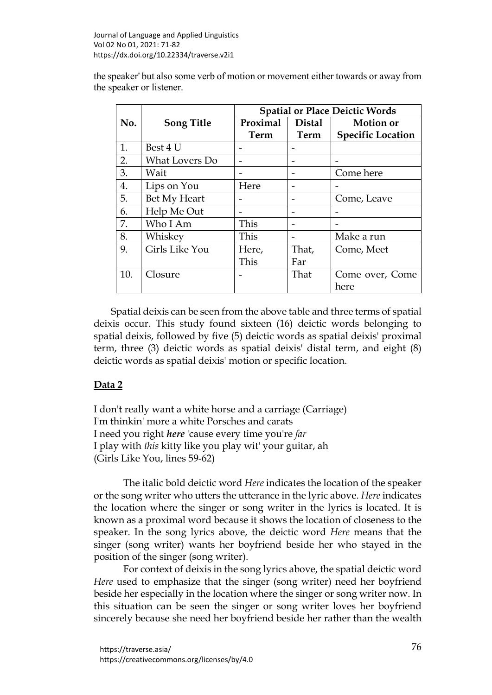the speaker' but also some verb of motion or movement either towards or away from the speaker or listener.

|     |                   | <b>Spatial or Place Deictic Words</b> |               |                          |
|-----|-------------------|---------------------------------------|---------------|--------------------------|
| No. | <b>Song Title</b> | Proximal                              | <b>Distal</b> | <b>Motion</b> or         |
|     |                   | Term                                  | Term          | <b>Specific Location</b> |
| 1.  | Best 4 U          |                                       |               |                          |
| 2.  | What Lovers Do    | $\overline{\phantom{0}}$              |               |                          |
| 3.  | Wait              |                                       |               | Come here                |
| 4.  | Lips on You       | Here                                  |               |                          |
| 5.  | Bet My Heart      |                                       |               | Come, Leave              |
| 6.  | Help Me Out       |                                       |               |                          |
| 7.  | Who I Am          | This                                  |               |                          |
| 8.  | Whiskey           | This                                  |               | Make a run               |
| 9.  | Girls Like You    | Here,                                 | That,         | Come, Meet               |
|     |                   | This                                  | Far           |                          |
| 10. | Closure           |                                       | That          | Come over, Come          |
|     |                   |                                       |               | here                     |

 Spatial deixis can be seen from the above table and three terms of spatial deixis occur. This study found sixteen (16) deictic words belonging to spatial deixis, followed by five (5) deictic words as spatial deixis' proximal term, three (3) deictic words as spatial deixis' distal term, and eight (8) deictic words as spatial deixis' motion or specific location.

# **Data 2**

I don't really want a white horse and a carriage (Carriage) I'm thinkin' more a white Porsches and carats I need you right *here* 'cause every time you're *far*  I play with *this* kitty like you play wit' your guitar, ah (Girls Like You, lines 59-62)

The italic bold deictic word *Here* indicates the location of the speaker or the song writer who utters the utterance in the lyric above. *Here* indicates the location where the singer or song writer in the lyrics is located. It is known as a proximal word because it shows the location of closeness to the speaker. In the song lyrics above, the deictic word *Here* means that the singer (song writer) wants her boyfriend beside her who stayed in the position of the singer (song writer).

For context of deixis in the song lyrics above, the spatial deictic word *Here* used to emphasize that the singer (song writer) need her boyfriend beside her especially in the location where the singer or song writer now. In this situation can be seen the singer or song writer loves her boyfriend sincerely because she need her boyfriend beside her rather than the wealth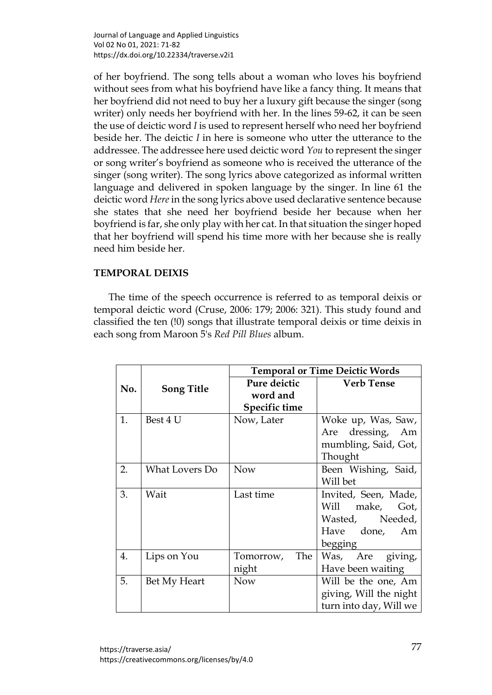of her boyfriend. The song tells about a woman who loves his boyfriend without sees from what his boyfriend have like a fancy thing. It means that her boyfriend did not need to buy her a luxury gift because the singer (song writer) only needs her boyfriend with her. In the lines 59-62, it can be seen the use of deictic word *I* is used to represent herself who need her boyfriend beside her. The deictic *I* in here is someone who utter the utterance to the addressee. The addressee here used deictic word *You* to represent the singer or song writer's boyfriend as someone who is received the utterance of the singer (song writer). The song lyrics above categorized as informal written language and delivered in spoken language by the singer. In line 61 the deictic word *Here* in the song lyrics above used declarative sentence because she states that she need her boyfriend beside her because when her boyfriend is far, she only play with her cat. In that situation the singer hoped that her boyfriend will spend his time more with her because she is really need him beside her.

# **TEMPORAL DEIXIS**

 The time of the speech occurrence is referred to as temporal deixis or temporal deictic word (Cruse, 2006: 179; 2006: 321). This study found and classified the ten (!0) songs that illustrate temporal deixis or time deixis in each song from Maroon 5's *Red Pill Blues* album.

|     |                   | <b>Temporal or Time Deictic Words</b> |                        |  |
|-----|-------------------|---------------------------------------|------------------------|--|
| No. |                   | Pure deictic                          | <b>Verb Tense</b>      |  |
|     | <b>Song Title</b> | word and                              |                        |  |
|     |                   | <b>Specific time</b>                  |                        |  |
| 1.  | Best 4 U          | Now, Later                            | Woke up, Was, Saw,     |  |
|     |                   |                                       | Are dressing, Am       |  |
|     |                   |                                       | mumbling, Said, Got,   |  |
|     |                   |                                       | Thought                |  |
| 2.  | What Lovers Do    | <b>Now</b>                            | Been Wishing, Said,    |  |
|     |                   |                                       | Will bet               |  |
| 3.  | Wait              | Last time                             | Invited, Seen, Made,   |  |
|     |                   |                                       | Will make, Got,        |  |
|     |                   |                                       | Wasted, Needed,        |  |
|     |                   |                                       | Have done, Am          |  |
|     |                   |                                       | begging                |  |
| 4.  | Lips on You       | The<br>Tomorrow,                      | Was, Are giving,       |  |
|     |                   | night                                 | Have been waiting      |  |
| 5.  | Bet My Heart      | <b>Now</b>                            | Will be the one, Am    |  |
|     |                   |                                       | giving, Will the night |  |
|     |                   |                                       | turn into day, Will we |  |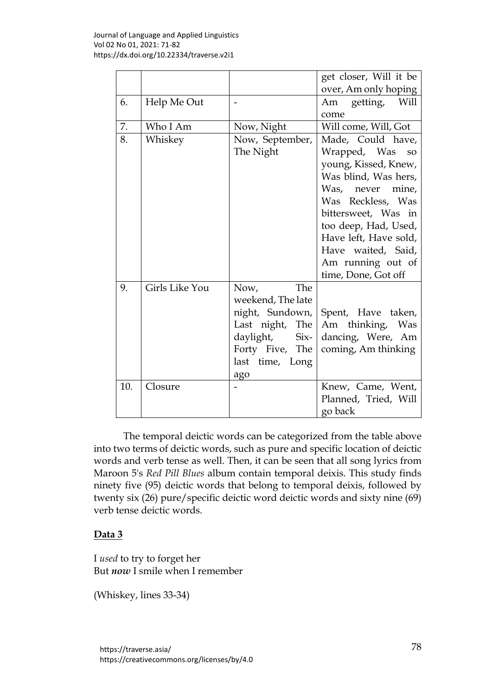|     |                |                          | get closer, Will it be          |
|-----|----------------|--------------------------|---------------------------------|
|     |                |                          | over, Am only hoping            |
| 6.  |                |                          |                                 |
|     | Help Me Out    | $\overline{\phantom{0}}$ | Am getting, Will                |
|     |                |                          | come                            |
| 7.  | Who I Am       | Now, Night               | Will come, Will, Got            |
| 8.  | Whiskey        | Now, September,          | Made, Could have,               |
|     |                | The Night                | Wrapped, Was<br>SO <sub>1</sub> |
|     |                |                          | young, Kissed, Knew,            |
|     |                |                          | Was blind, Was hers,            |
|     |                |                          | Was, never mine,                |
|     |                |                          | Was Reckless, Was               |
|     |                |                          | bittersweet, Was in             |
|     |                |                          | too deep, Had, Used,            |
|     |                |                          | Have left, Have sold,           |
|     |                |                          | Have waited, Said,              |
|     |                |                          | Am running out of               |
|     |                |                          | time, Done, Got off             |
| 9.  | Girls Like You | The<br>Now,              |                                 |
|     |                | weekend, The late        |                                 |
|     |                | night, Sundown,          | Spent, Have taken,              |
|     |                | Last night, The          | Am thinking, Was                |
|     |                | daylight, Six-           | dancing, Were, Am               |
|     |                | Forty Five, The          | coming, Am thinking             |
|     |                | last time, Long          |                                 |
|     |                | ago                      |                                 |
| 10. | Closure        |                          | Knew, Came, Went,               |
|     |                |                          | Planned, Tried, Will            |
|     |                |                          |                                 |
|     |                |                          | go back                         |

 The temporal deictic words can be categorized from the table above into two terms of deictic words, such as pure and specific location of deictic words and verb tense as well. Then, it can be seen that all song lyrics from Maroon 5's *Red Pill Blues* album contain temporal deixis. This study finds ninety five (95) deictic words that belong to temporal deixis, followed by twenty six (26) pure/specific deictic word deictic words and sixty nine (69) verb tense deictic words.

# **Data 3**

I *used* to try to forget her But *now* I smile when I remember

(Whiskey, lines 33-34)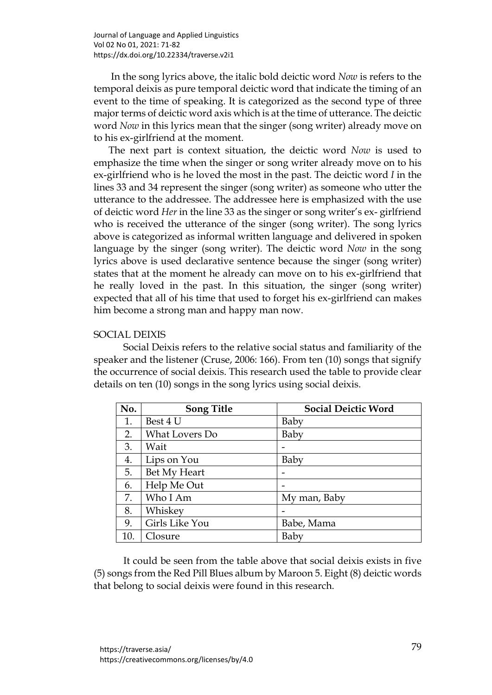In the song lyrics above, the italic bold deictic word *Now* is refers to the temporal deixis as pure temporal deictic word that indicate the timing of an event to the time of speaking. It is categorized as the second type of three major terms of deictic word axis which is at the time of utterance. The deictic word *Now* in this lyrics mean that the singer (song writer) already move on to his ex-girlfriend at the moment.

 The next part is context situation, the deictic word *Now* is used to emphasize the time when the singer or song writer already move on to his ex-girlfriend who is he loved the most in the past. The deictic word *I* in the lines 33 and 34 represent the singer (song writer) as someone who utter the utterance to the addressee. The addressee here is emphasized with the use of deictic word *Her* in the line 33 as the singer or song writer's ex- girlfriend who is received the utterance of the singer (song writer). The song lyrics above is categorized as informal written language and delivered in spoken language by the singer (song writer). The deictic word *Now* in the song lyrics above is used declarative sentence because the singer (song writer) states that at the moment he already can move on to his ex-girlfriend that he really loved in the past. In this situation, the singer (song writer) expected that all of his time that used to forget his ex-girlfriend can makes him become a strong man and happy man now.

## SOCIAL DEIXIS

 Social Deixis refers to the relative social status and familiarity of the speaker and the listener (Cruse, 2006: 166). From ten (10) songs that signify the occurrence of social deixis. This research used the table to provide clear details on ten (10) songs in the song lyrics using social deixis.

| No. | <b>Song Title</b> | <b>Social Deictic Word</b> |
|-----|-------------------|----------------------------|
| 1.  | Best 4 U          | Baby                       |
| 2.  | What Lovers Do    | Baby                       |
| 3.  | Wait              |                            |
| 4.  | Lips on You       | Baby                       |
| 5.  | Bet My Heart      |                            |
| 6.  | Help Me Out       |                            |
| 7.  | Who I Am          | My man, Baby               |
| 8.  | Whiskey           |                            |
| 9.  | Girls Like You    | Babe, Mama                 |
| 10. | Closure           | Baby                       |

 It could be seen from the table above that social deixis exists in five (5) songs from the Red Pill Blues album by Maroon 5. Eight (8) deictic words that belong to social deixis were found in this research.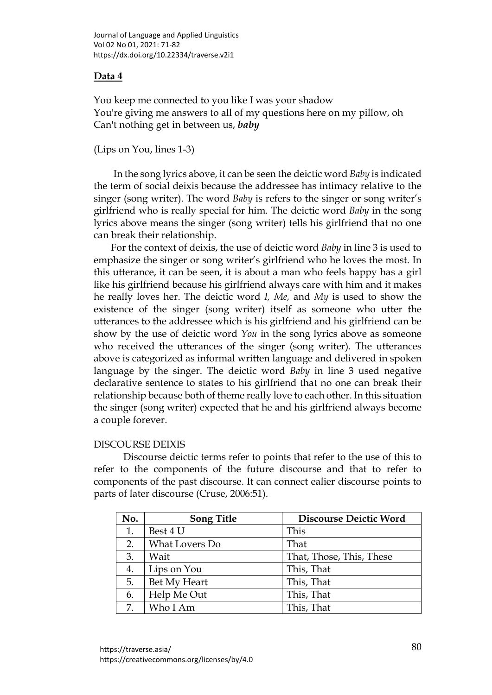# **Data 4**

You keep me connected to you like I was your shadow You're giving me answers to all of my questions here on my pillow, oh Can't nothing get in between us, *baby* 

# (Lips on You, lines 1-3)

 In the song lyrics above, it can be seen the deictic word *Baby* is indicated the term of social deixis because the addressee has intimacy relative to the singer (song writer). The word *Baby* is refers to the singer or song writer's girlfriend who is really special for him. The deictic word *Baby* in the song lyrics above means the singer (song writer) tells his girlfriend that no one can break their relationship.

 For the context of deixis, the use of deictic word *Baby* in line 3 is used to emphasize the singer or song writer's girlfriend who he loves the most. In this utterance, it can be seen, it is about a man who feels happy has a girl like his girlfriend because his girlfriend always care with him and it makes he really loves her. The deictic word *I, Me,* and *My* is used to show the existence of the singer (song writer) itself as someone who utter the utterances to the addressee which is his girlfriend and his girlfriend can be show by the use of deictic word *You* in the song lyrics above as someone who received the utterances of the singer (song writer). The utterances above is categorized as informal written language and delivered in spoken language by the singer. The deictic word *Baby* in line 3 used negative declarative sentence to states to his girlfriend that no one can break their relationship because both of theme really love to each other. In this situation the singer (song writer) expected that he and his girlfriend always become a couple forever.

# DISCOURSE DEIXIS

 Discourse deictic terms refer to points that refer to the use of this to refer to the components of the future discourse and that to refer to components of the past discourse. It can connect ealier discourse points to parts of later discourse (Cruse, 2006:51).

| No. | <b>Song Title</b> | <b>Discourse Deictic Word</b> |
|-----|-------------------|-------------------------------|
| 1.  | Best 4 U          | This                          |
| 2.  | What Lovers Do    | That                          |
| 3.  | Wait              | That, Those, This, These      |
| 4.  | Lips on You       | This, That                    |
| 5.  | Bet My Heart      | This, That                    |
| 6.  | Help Me Out       | This, That                    |
| 7.  | Who I Am          | This, That                    |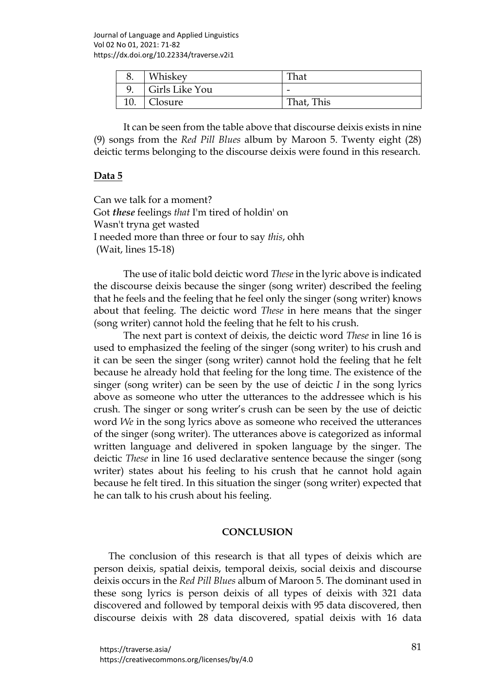Journal of Language and Applied Linguistics Vol 02 No 01, 2021: 71-82 https://dx.doi.org/10.22334/traverse.v2i1

| Whiskey        | That       |
|----------------|------------|
| Girls Like You | -          |
| Closure        | That, This |

 It can be seen from the table above that discourse deixis exists in nine (9) songs from the *Red Pill Blues* album by Maroon 5. Twenty eight (28) deictic terms belonging to the discourse deixis were found in this research.

### **Data 5**

Can we talk for a moment? Got *these* feelings *that* I'm tired of holdin' on Wasn't tryna get wasted I needed more than three or four to say *this*, ohh (Wait, lines 15-18)

The use of italic bold deictic word *These* in the lyric above is indicated the discourse deixis because the singer (song writer) described the feeling that he feels and the feeling that he feel only the singer (song writer) knows about that feeling. The deictic word *These* in here means that the singer (song writer) cannot hold the feeling that he felt to his crush.

The next part is context of deixis, the deictic word *These* in line 16 is used to emphasized the feeling of the singer (song writer) to his crush and it can be seen the singer (song writer) cannot hold the feeling that he felt because he already hold that feeling for the long time. The existence of the singer (song writer) can be seen by the use of deictic *I* in the song lyrics above as someone who utter the utterances to the addressee which is his crush. The singer or song writer's crush can be seen by the use of deictic word *We* in the song lyrics above as someone who received the utterances of the singer (song writer). The utterances above is categorized as informal written language and delivered in spoken language by the singer. The deictic *These* in line 16 used declarative sentence because the singer (song writer) states about his feeling to his crush that he cannot hold again because he felt tired. In this situation the singer (song writer) expected that he can talk to his crush about his feeling.

#### **CONCLUSION**

The conclusion of this research is that all types of deixis which are person deixis, spatial deixis, temporal deixis, social deixis and discourse deixis occurs in the *Red Pill Blues* album of Maroon 5. The dominant used in these song lyrics is person deixis of all types of deixis with 321 data discovered and followed by temporal deixis with 95 data discovered, then discourse deixis with 28 data discovered, spatial deixis with 16 data